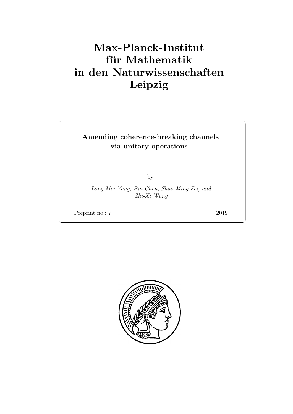# Max-Planck-Institut für Mathematik in den Naturwissenschaften Leipzig

### Amending coherence-breaking channels via unitary operations

by

Long-Mei Yang, Bin Chen, Shao-Ming Fei, and Zhi-Xi Wang

Preprint no.: 7 2019

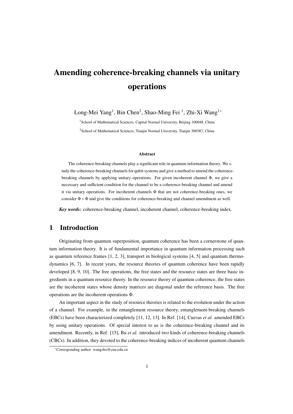## Amending coherence-breaking channels via unitary operations

Long-Mei Yang<sup>1</sup>, Bin Chen<sup>2</sup>, Shao-Ming Fei <sup>1</sup>, Zhi-Xi Wang<sup>1</sup>\*

<sup>1</sup> School of Mathematical Sciences, Capital Normal University, Beijing 100048, China <sup>2</sup>School of Mathematical Sciences, Tianjin Normal University, Tianjin 300387, China

#### Abstract

The coherence-breaking channels play a significant role in quantum information theory. We study the coherence-breaking channels for qubit systems and give a method to amend the coherencebreaking channels by applying unitary operations. For given incoherent channel Φ, we give a necessary and sufficient condition for the channel to be a coherence-breaking channel and amend it via unitary operations. For incoherent channels Φ that are not coherence-breaking ones, we consider  $\Phi \circ \Phi$  and give the conditions for coherence-breaking and channel amendment as well.

*Key words:* coherence-breaking channel, incoherent channel, coherence-breaking index.

#### 1 Introduction

Originating from quantum superposition, quantum coherence has been a cornerstone of quantum information theory. It is of fundamental importance in quantum information processing such as quantum reference frames [1, 2, 3], transport in biological systems [4, 5] and quantum thermodynamics [6, 7]. In recent years, the resource theories of quantum coherence have been rapidly developed [8, 9, 10]. The free operations, the free states and the resource states are three basic ingredients in a quantum resource theory. In the resource theory of quantum coherence, the free states are the incoherent states whose density matrices are diagonal under the reference basis. The free operations are the incoherent operations Φ.

An important aspect in the study of resource theories is related to the evolution under the action of a channel. For example, in the entanglement resource theory, entanglement-breaking channels (EBCs) have been characterized completely [11, 12, 13]. In Ref. [14], Cuevas *et al.* amended EBCs by using unitary operations. Of special interest to us is the coherence-breaking channel and its amendment. Recently, in Ref. [15], Bu *et al.* introduced two kinds of coherence-breaking channels (CBCs). In addition, they devoted to the coherence-breaking indices of incoherent quantum channels

<sup>∗</sup>Corresponding author: wangzhx@cnu.edu.cn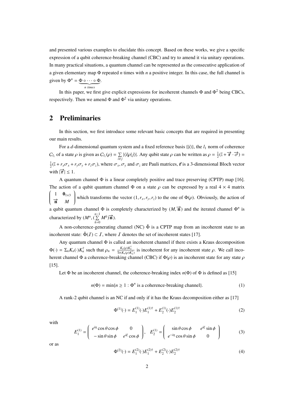and presented various examples to elucidate this concept. Based on these works, we give a specific expression of a qubit coherence-breaking channel (CBC) and try to amend it via unitary operations. In many practical situations, a quantum channel can be represented as the consecutive application of a given elementary map Φ repeated *n* times with *n* a positive integer. In this case, the full channel is given by  $\Phi^n = \Phi \circ \cdots \circ \Phi$ . | {z } *n times*

In this paper, we first give explicit expressions for incoherent channels  $\Phi$  and  $\Phi^2$  being CBCs, respectively. Then we amend  $\Phi$  and  $\Phi$ <sup>2</sup> via unitary operations.

#### 2 Preliminaries

In this section, we first introduce some relevant basic concepts that are required in presenting our main results.

For a *d*-dimensional quantum system and a fixed reference basis  $\{|i\rangle\}$ , the  $l_1$  norm of coherence  $C_{l_1}$  of a state  $\rho$  is given as  $C_{l_1}(\rho) = \sum_{i \neq j} |\langle i | \rho | j \rangle|$ . Any qubit state  $\rho$  can be written as  $\rho = \frac{1}{2}(\mathbb{I} + \vec{r} \cdot \vec{\sigma}) =$  $\frac{1}{2}(\mathbb{I} + r_x\sigma_x + r_y\sigma_y + r_z\sigma_z)$ , where  $\sigma_x, \sigma_y$  and  $\sigma_z$  are Pauli matrices,  $\vec{r}$  is a 3-dimensional Bloch vector with  $|\vec{r}| \leq 1$ .

A quantum channel Φ is a linear completely positive and trace preserving (CPTP) map [16]. The action of a qubit quantum channel  $\Phi$  on a state  $\rho$  can be expressed by a real 4  $\times$  4 matrix ſ 1  $\mathbf{0}_{1\times 3}$ −→<sup>n</sup> *<sup>M</sup>*  $\lambda$  $\begin{array}{c} \end{array}$ which transforms the vector  $(1, r_x, r_y, r_z)$  to the one of  $\Phi(\rho)$ . Obviously, the action of a qubit quantum channel  $\Phi$  is completely characterized by  $(M, \vec{n})$  and the iterated channel  $\Phi^n$  is characterized by  $(M^n, (\sum_{k=0}^{n-1} M^k)\vec{\mathbf{n}})$ .

A non-coherence-generating channel (NC)  $\tilde{\Phi}$  is a CPTP map from an incoherent state to an incoherent state:  $\tilde{\Phi}(I) \subset I$ , where I denotes the set of incoherent states [17].

Any quantum channel Φ is called an incoherent channel if there exists a Kraus decomposition  $\Phi(\cdot) = \sum_n K_n(\cdot) K_n^{\dagger}$  such that  $\rho_n = \frac{K_n(\rho) K_n^{\dagger}}{\text{Tr}(K_n(\rho) K_n^{\dagger})}$  is incoherent for any incoherent state  $\rho$ . We call incoherent channel Φ a coherence-breaking channel (CBC) if  $\Phi(\rho)$  is an incoherent state for any state  $\rho$  $[15]$ .

Let  $\Phi$  be an incoherent channel, the coherence-breaking index  $n(\Phi)$  of  $\Phi$  is defined as [15]

$$
n(\Phi) = \min\{n \ge 1 : \Phi^n \text{ is a coherence-breaking channel}\}.
$$
 (1)

A rank-2 qubit channel is an NC if and only if it has the Kraus decomposition either as [17]

$$
\Phi^{(1)}(\cdot) = E_1^{(1)}(\cdot)E_1^{(1)\dagger} + E_2^{(1)}(\cdot)E_2^{(1)\dagger} \tag{2}
$$

with

$$
E_1^{(1)} = \begin{pmatrix} e^{i\eta} \cos\theta \cos\phi & 0\\ -\sin\theta \sin\phi & e^{i\xi} \cos\phi \end{pmatrix}, E_2^{(1)} = \begin{pmatrix} \sin\theta \cos\phi & e^{i\xi} \sin\phi\\ e^{-i\eta} \cos\theta \sin\phi & 0 \end{pmatrix}
$$
(3)

or as

$$
\Phi^{(2)}(\cdot) = E_1^{(2)}(\cdot)E_1^{(2)\dagger} + E_2^{(2)}(\cdot)E_2^{(2)\dagger} \tag{4}
$$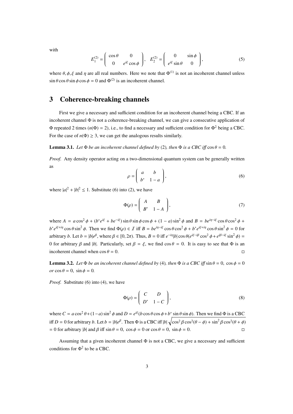with

$$
E_1^{(2)} = \begin{pmatrix} \cos \theta & 0 \\ 0 & e^{i\xi} \cos \phi \end{pmatrix}, \quad E_2^{(2)} = \begin{pmatrix} 0 & \sin \phi \\ e^{i\xi} \sin \theta & 0 \end{pmatrix}, \tag{5}
$$

where  $\theta$ ,  $\phi$ ,  $\xi$  and  $\eta$  are all real numbers. Here we note that  $\Phi^{(1)}$  is not an incoherent channel unless  $\sin \theta \cos \theta \sin \phi \cos \phi = 0$  and  $\Phi^{(2)}$  is an incoherent channel.

### 3 Coherence-breaking channels

First we give a necessary and sufficient condition for an incoherent channel being a CBC. If an incoherent channel  $\Phi$  is not a coherence-breaking channel, we can give a consecutive application of Φ repeated 2 times (*n*(Φ) = 2), i.e., to find a necessary and sufficient condition for Φ<sup>2</sup> being a CBC. For the case of  $n(\Phi) \geq 3$ , we can get the analogous results similarly.

**Lemma 3.1.** *Let*  $\Phi$  *be an incoherent channel defined by* (2)*, then*  $\Phi$  *is a CBC iff*  $\cos \theta = 0$ *.* 

*Proof.* Any density operator acting on a two-dimensional quantum system can be generally written as

$$
\rho = \left(\begin{array}{cc} a & b \\ b^* & 1 - a \end{array}\right),\tag{6}
$$

where  $|a|^2 + |b|^2 \le 1$ . Substitute (6) into (2), we have

$$
\Phi(\rho) = \begin{pmatrix} A & B \\ B^* & 1 - A \end{pmatrix},\tag{7}
$$

where  $A = a\cos^2\phi + (b^*e^{i\xi} + be^{-i\xi})\sin\theta\sin\phi\cos\phi + (1 - a)\sin^2\phi$  and  $B = be^{i\eta - i\xi}\cos\theta\cos^2\phi +$  $b^* e^{i\xi + i\eta} \cos \theta \sin^2 \phi$ . Then we find  $\Phi(\rho) \in I$  iff  $B = b e^{i\eta - i\xi} \cos \theta \cos^2 \phi + b^* e^{i\xi + i\eta} \cos \theta \sin^2 \phi = 0$  for arbitrary *b*. Let  $b = |b|e^{\beta}$ , where  $\beta \in [0, 2\pi)$ . Thus,  $B = 0$  iff  $e^{-i\eta} |b| \cos \theta (e^{i\xi - i\beta} \cos^2 \phi + e^{i\beta - i\xi} \sin^2 \phi) =$ 0 for arbitrary β and |b|. Particularly, set  $β = ξ$ , we find cos  $θ = 0$ . It is easy to see that Φ is an incoherent channel when  $\cos \theta = 0$ .

**Lemma 3.2.** *Let*  $\Phi$  *be an incoherent channel defined by* (4)*, then*  $\Phi$  *is a CBC iff*  $\sin \theta = 0$ *, cos*  $\phi = 0$  $or \cos \theta = 0$ ,  $\sin \phi = 0$ .

*Proof.* Substitute (6) into (4), we have

$$
\Phi(\rho) = \begin{pmatrix} C & D \\ D^* & 1 - C \end{pmatrix},\tag{8}
$$

where  $C = a \cos^2 \theta + (1 - a) \sin^2 \phi$  and  $D = e^{i\xi} (b \cos \theta \cos \phi + b^* \sin \theta \sin \phi)$ . Then we find  $\Phi$  is a CBC iff  $D = 0$  for arbitrary *b*. Let  $b = |b|e^{\beta}$ . Then  $\Phi$  is a CBC iff  $|b| \sqrt{\cos^2 \beta \cos^2(\theta - \phi) + \sin^2 \beta \cos^2(\theta + \phi)}$  $= 0$  for arbitrary |*b*| and  $\beta$  iff sin  $\theta = 0$ , cos  $\phi = 0$  or cos  $\theta = 0$ , sin  $\phi = 0$ .

Assuming that a given incoherent channel  $\Phi$  is not a CBC, we give a necessary and sufficient conditions for  $\Phi^2$  to be a CBC.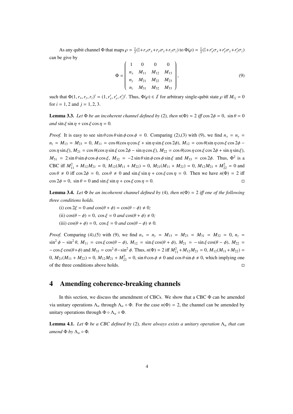As any qubit channel  $\Phi$  that maps  $\rho = \frac{1}{2}(\mathbb{I} + r_x \sigma_x + r_y \sigma_y + r_z \sigma_z)$  to  $\Phi(\rho) = \frac{1}{2}(\mathbb{I} + r_x \sigma_x + r_y \sigma_y + r_z \sigma_z)$ can be give by

$$
\Phi = \begin{pmatrix} 1 & 0 & 0 & 0 \\ n_x & M_{11} & M_{12} & M_{13} \\ n_y & M_{21} & M_{22} & M_{23} \\ n_z & M_{31} & M_{32} & M_{33} \end{pmatrix},
$$
(9)

such that  $\Phi(1, r_x, r_y, r_z)^t = (1, r'_x, r'_y, r'_z)^t$ . Thus,  $\Phi(\rho) \in \mathcal{I}$  for arbitrary single-qubit state  $\rho$  iff  $M_{ij} = 0$ for  $i = 1, 2$  and  $j = 1, 2, 3$ .

**Lemma 3.3.** Let  $\Phi$  be an incoherent channel defined by (2), then  $n(\Phi) = 2$  iff cos  $2\phi = 0$ , sin  $\theta = 0$ *and* sin  $\xi$  sin  $\eta$  + cos  $\xi$  cos  $\eta$  = 0.

*Proof.* It is easy to see  $\sin \theta \cos \theta \sin \phi \cos \phi = 0$ . Comparing (2),(3) with (9), we find  $n_x = n_y$ .  $n_z = M_{13} = M_{23} = 0$ ,  $M_{11} = \cos \theta (\cos \eta \cos \xi + \sin \eta \sin \xi \cos 2\phi)$ ,  $M_{12} = \cos \theta (\sin \eta \cos \xi \cos 2\phi - \theta \sin \eta \cos \xi \cos 2\phi)$  $\cos \eta \sin \xi$ ),  $M_{21} = \cos \theta (\cos \eta \sin \xi \cos 2\phi - \sin \eta \cos \xi)$ ,  $M_{22} = \cos \theta (\cos \eta \cos \xi \cos 2\phi + \sin \eta \sin \xi)$ ,  $M_{31} = 2 \sin \theta \sin \phi \cos \phi \cos \xi$ ,  $M_{32} = -2 \sin \theta \sin \phi \cos \phi \sin \xi$  and  $M_{33} = \cos 2\phi$ . Thus,  $\Phi^2$  is a CBC iff  $M_{11}^2 + M_{12}M_{21} = 0$ ,  $M_{12}(M_{11} + M_{22}) = 0$ ,  $M_{21}(M_{11} + M_{22}) = 0$ ,  $M_{12}M_{21} + M_{22}^2 = 0$  and  $\cos \theta \neq 0$  iff  $\cos 2\phi = 0$ ,  $\cos \theta \neq 0$  and  $\sin \xi \sin \eta + \cos \xi \cos \eta = 0$ . Then we have  $n(\Phi) = 2$  iff  $\cos 2\phi = 0$ ,  $\sin \theta = 0$  and  $\sin \xi \sin \eta + \cos \xi \cos \eta = 0$ .

**Lemma 3.4.** *Let*  $\Phi$  *be an incoherent channel defined by* (4)*, then n*( $\Phi$ ) = 2 *iff one of the following three conditions holds.*

(i)  $\cos 2\xi = 0$  *and*  $\cos(\theta + \phi) = \cos(\theta - \phi) \neq 0$ ; (ii)  $\cos(\theta - \phi) = 0$ ,  $\cos \xi = 0$  *and*  $\cos(\theta + \phi) \neq 0$ ;

(iii)  $\cos(\theta + \phi) = 0$ ,  $\cos \xi = 0$  *and*  $\cos(\theta - \phi) \neq 0$ .

*Proof.* Comparing (4),(5) with (9), we find  $n_x = n_y = M_{13} = M_{23} = M_{31} = M_{32} = 0$ ,  $n_z =$  $\sin^2 \phi - \sin^2 \theta$ ,  $M_{11} = \cos \xi \cos(\theta - \phi)$ ,  $M_{12} = \sin \xi \cos(\theta + \phi)$ ,  $M_{21} = -\sin \xi \cos(\theta - \phi)$ ,  $M_{22} =$  $-\cos \xi \cos(\theta + \phi)$  and  $M_{33} = \cos^2 \theta - \sin^2 \phi$ . Thus,  $n(\Phi) = 2$  iff  $M_{11}^2 + M_{12}M_{21} = 0$ ,  $M_{12}(M_{11} + M_{22}) =$ 0,  $M_{21}(M_{11} + M_{22}) = 0$ ,  $M_{12}M_{21} + M_{22}^2 = 0$ , sin  $\theta \cos \phi \neq 0$  and  $\cos \theta \sin \phi \neq 0$ , which implying one of the three conditions above holds.

#### 4 Amending coherence-breaking channels

In this section, we discuss the amendment of CBCs. We show that a CBC Φ can be amended via unitary operations  $Λ_{\alpha}$  through  $Λ_{\alpha} \circ Φ$ . For the case  $n(Φ) = 2$ , the channel can be amended by unitary operations through  $\Phi \circ \Lambda_{\alpha} \circ \Phi$ .

**Lemma 4.1.** Let  $\Phi$  be a CBC defined by (2), there always exists a unitary operation  $\Lambda_{\alpha}$  that can *amend*  $\Phi$  *by*  $\Lambda_{\alpha} \circ \Phi$ *.*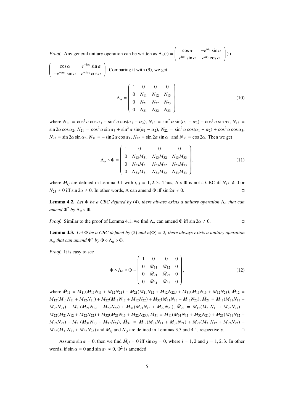*Proof.* Any general unitary operation can be written as  $\Lambda_{\alpha}(\cdot)$  =  $\int \cos \alpha - e^{i\alpha_1} \sin \alpha$  $\overline{\mathcal{C}}$  $e^{i\alpha_2}$  sin  $\alpha$  *e*<sup>*i*α<sub>3</sub></sup> cos  $\alpha$  $\lambda$  $\begin{array}{c} \end{array}$ (·)

ſ  $\cos \alpha$   $e^{-i\alpha_2} \sin \alpha$  $-e^{-i\alpha_1}\sin\alpha$  *e*<sup>-*i*α<sub>3</sub></sup> cos α  $\overline{\phantom{a}}$  $\begin{array}{c} \end{array}$ . Comparing it with (9), we get

$$
\Lambda_{\alpha} = \begin{pmatrix} 1 & 0 & 0 & 0 \\ 0 & N_{11} & N_{12} & N_{13} \\ 0 & N_{21} & N_{22} & N_{23} \\ 0 & N_{31} & N_{32} & N_{33} \end{pmatrix},
$$
(10)

where  $N_{11} = \cos^2 \alpha \cos \alpha_3 - \sin^2 \alpha \cos(\alpha_1 - \alpha_2)$ ,  $N_{12} = \sin^2 \alpha \sin(\alpha_1 - \alpha_2) - \cos^2 \alpha \sin \alpha_3$ ,  $N_{13} =$  $\sin 2\alpha \cos \alpha_2$ ,  $N_{21} = \cos^2 \alpha \sin \alpha_3 + \sin^2 \alpha \sin(\alpha_1 - \alpha_2)$ ,  $N_{22} = \sin^2 \alpha \cos(\alpha_1 - \alpha_2) + \cos^2 \alpha \cos \alpha_3$ ,  $N_{23}$  = sin 2*α* sin  $\alpha_2$ ,  $N_{31}$  =  $-\sin 2\alpha \cos \alpha_1$ ,  $N_{32}$  = sin 2*α* sin  $\alpha_1$  and  $N_{33}$  = cos 2*α*. Then we get

$$
\Lambda_{\alpha} \circ \Phi = \begin{pmatrix} 1 & 0 & 0 & 0 \\ 0 & N_{13}M_{31} & N_{13}M_{32} & N_{13}M_{33} \\ 0 & N_{23}M_{31} & N_{23}M_{32} & N_{23}M_{33} \\ 0 & N_{33}M_{31} & N_{33}M_{32} & N_{33}M_{33} \end{pmatrix},
$$
(11)

where  $M_{ij}$  are defined in Lemma 3.1 with *i*,  $j = 1, 2, 3$ . Thus,  $\Lambda \circ \Phi$  is not a CBC iff  $N_{13} \neq 0$  or  $N_{23} \neq 0$  iff sin  $2\alpha \neq 0$ . In other words,  $\Lambda$  can amend  $\Phi$  iff sin  $2\alpha \neq 0$ .

**Lemma 4.2.** Let  $\Phi$  *be a CBC defined by* (4)*, there always exists a unitary operation*  $\Lambda_{\alpha}$  *that can amend*  $\Phi^2$  *by*  $\Lambda_\alpha \circ \Phi$ *.* 

*Proof.* Similar to the proof of Lemma 4.1, we find  $\Lambda_{\alpha}$  can amend  $\Phi$  iff sin  $2\alpha \neq 0$ .

**Lemma 4.3.** *Let*  $\Phi$  *be a CBC defined by* (2) *and*  $n(\Phi) = 2$ *, there always exists a unitary operation*  $\Lambda_{\alpha}$  *that can amend*  $\Phi^2$  *by*  $\Phi \circ \Lambda_{\alpha} \circ \Phi$ *.* 

*Proof.* It is easy to see

$$
\Phi \circ \Lambda_{\alpha} \circ \Phi = \begin{pmatrix} 1 & 0 & 0 & 0 \\ 0 & \tilde{M}_{11} & \tilde{M}_{12} & 0 \\ 0 & \tilde{M}_{21} & \tilde{M}_{22} & 0 \\ 0 & \tilde{M}_{31} & \tilde{M}_{32} & 0 \end{pmatrix},
$$
(12)

where  $\tilde{M}_{11} = M_{11}(M_{11}N_{11} + M_{12}N_{21}) + M_{21}(M_{11}N_{12} + M_{12}N_{22}) + M_{31}(M_{11}N_{13} + M_{12}N_{23}), \tilde{M}_{12} =$  $M_{12}(M_{11}N_{11} + M_{12}N_{21}) + M_{22}(M_{11}N_{12} + M_{12}N_{22}) + M_{32}(M_{11}N_{13} + M_{12}N_{23}), \tilde{M}_{21} = M_{11}(M_{21}N_{11} + M_{22}N_{22}) + M_{22}(M_{11}N_{13} + M_{22}N_{23})$  $M_{22}N_{21}$ ) +  $M_{21}(M_{21}N_{12} + M_{22}N_{22}) + M_{31}(M_{21}N_{13} + M_{22}N_{23})$ ,  $\tilde{M}_{22} = M_{12}(M_{21}N_{11} + M_{22}N_{21}) +$  $M_{22}(M_{21}N_{12} + M_{22}N_{22}) + M_{32}(M_{21}N_{13} + M_{22}N_{23}), \tilde{M}_{31} = M_{11}(M_{31}N_{11} + M_{32}N_{21}) + M_{21}(M_{31}N_{12} + M_{32}N_{21})$  $M_{32}N_{22}$ ) +  $M_{31}(M_{31}N_{13} + M_{32}N_{23})$ ,  $\tilde{M}_{32} = M_{12}(M_{31}N_{11} + M_{32}N_{21}) + M_{22}(M_{31}N_{12} + M_{32}N_{22})$  +  $M_{32}(M_{31}N_{13} + M_{32}N_{23})$  and  $M_{ij}$  and  $N_{ij}$  are defined in Lemmas 3.3 and 4.1, respectively.

Assume sin  $\alpha = 0$ , then we find  $\tilde{M}_{ij} = 0$  iff sin  $\alpha_3 = 0$ , where  $i = 1, 2$  and  $j = 1, 2, 3$ . In other words, if  $\sin \alpha = 0$  and  $\sin \alpha_3 \neq 0$ ,  $\Phi^2$  is amended.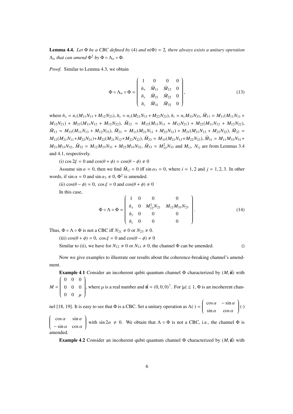**Lemma 4.4.** *Let*  $\Phi$  *be a CBC defined by* (4) *and*  $n(\Phi) = 2$ *, there always exists a unitary operation*  $\Lambda_{\alpha}$  *that can amend*  $\Phi^2$  *by*  $\Phi \circ \Lambda_{\alpha} \circ \Phi$ *.* 

*Proof.* Similar to Lemma 4.3, we obtain

$$
\Phi \circ \Lambda_{\alpha} \circ \Phi = \begin{pmatrix} 1 & 0 & 0 & 0 \\ \tilde{n}_{x} & \tilde{M}_{11} & \tilde{M}_{12} & 0 \\ \tilde{n}_{y} & \tilde{M}_{21} & \tilde{M}_{22} & 0 \\ \tilde{n}_{z} & \tilde{M}_{31} & \tilde{M}_{32} & 0 \end{pmatrix},
$$
(13)

where  $\tilde{n}_x = n_z(M_{11}N_{13} + M_{12}N_{23})$ ,  $\tilde{n}_y = n_z(M_{21}N_{13} + M_{22}N_{23})$ ,  $\tilde{n}_z = n_zM_{33}N_{33}$ ,  $\tilde{M}_{11} = M_{11}(M_{11}N_{11} + M_{12}N_{23})$  $M_{12}N_{21}$ ) +  $M_{21}(M_{11}N_{12} + M_{12}N_{22})$ ,  $\tilde{M}_{12} = M_{12}(M_{11}N_{11} + M_{12}N_{21}) + M_{22}(M_{11}N_{12} + M_{12}N_{22})$ ,  $\tilde{M}_{13} = M_{33}(M_{11}N_{13} + M_{12}N_{23}), \ \tilde{M}_{21} = M_{11}(M_{21}N_{11} + M_{22}N_{21}) + M_{21}(M_{21}N_{12} + M_{22}N_{22}), \ \tilde{M}_{22} =$  $M_{12}(M_{21}N_{11}+M_{22}N_{21})+M_{22}(M_{21}N_{12}+M_{22}N_{22}), \tilde{M}_{23}=M_{33}(M_{21}N_{13}+M_{22}N_{23}), \tilde{M}_{31}=M_{11}M_{33}N_{31}+M_{32}N_{32}$  $M_{21}M_{33}N_{32}$ ,  $\tilde{M}_{32} = M_{12}M_{33}N_{31} + M_{22}M_{33}N_{32}$ ,  $\tilde{M}_{33} = M_{33}^2N_{33}$  and  $M_{ij}$ ,  $N_{ij}$  are from Lemmas 3.4 and 4.1, respectively.

(i) cos  $2\xi = 0$  and cos( $\theta + \phi$ ) = cos( $\theta - \phi$ )  $\neq 0$ 

Assume sin  $\alpha = 0$ , then we find  $\tilde{M}_{ij} = 0$  iff sin  $\alpha_3 = 0$ , where  $i = 1, 2$  and  $j = 1, 2, 3$ . In other words, if  $\sin \alpha = 0$  and  $\sin \alpha_3 \neq 0$ ,  $\Phi^2$  is amended.

(ii)  $\cos(\theta - \phi) = 0$ ,  $\cos \xi = 0$  and  $\cos(\theta + \phi) \neq 0$ In this case,

$$
\Phi \circ \Lambda \circ \Phi = \begin{pmatrix} 1 & 0 & 0 & 0 \\ \tilde{n}_x & 0 & M_{12}^2 N_{21} & M_{12} M_{33} N_{23} \\ \tilde{n}_y & 0 & 0 & 0 \\ \tilde{n}_z & 0 & 0 & 0 \end{pmatrix} .
$$
 (14)

Thus,  $\Phi \circ \Lambda \circ \Phi$  is not a CBC iff  $N_{21} \neq 0$  or  $N_{23} \neq 0$ .

(iii)  $\cos(\theta + \phi) = 0$ ,  $\cos \xi = 0$  and  $\cos(\theta - \phi) \neq 0$ 

Similar to (ii), we have for  $N_{12} \neq 0$  or  $N_{13} \neq 0$ , the channel Φ can be amended.

Now we give examples to illustrate our results about the coherence-breaking channel's amendment.

**Example 4.1** Consider an incoherent qubit quantum channel  $\Phi$  characterized by  $(M, \vec{n})$  with *M* =  $\begin{pmatrix} 0 & 0 & 0 \end{pmatrix}$  0 0 0  $0 \quad 0 \quad \mu$ ſ  $\begin{array}{c} \hline \end{array}$ , where  $\mu$  is a real number and  $\vec{\mathbf{n}} = (0, 0, 0)^{\top}$ . For  $|\mu| \leq 1$ ,  $\Phi$  is an incoherent chan-

nel [18, 19]. It is easy to see that  $\Phi$  is a CBC. Set a unitary operation as  $\Lambda(\cdot)$  =  $\int \cos \alpha - \sin \alpha$  $\overline{\mathcal{C}}$  $\sin \alpha$  cos  $\alpha$  $\overline{\phantom{a}}$  $\begin{array}{c} \end{array}$ (·)

ſ  $\overline{\mathcal{C}}$  $\cos \alpha$   $\sin \alpha$  $-\sin \alpha \cos \alpha$ ſ  $\begin{array}{c} \end{array}$ with sin  $2\alpha \neq 0$ . We obtain that  $\Lambda \circ \Phi$  is not a CBC, i.e., the channel  $\Phi$  is amended.

**Example 4.2** Consider an incoherent qubit quantum channel  $\Phi$  characterized by  $(M, \vec{n})$  with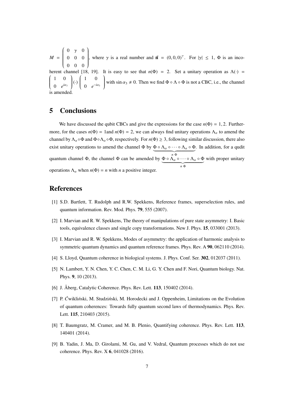*M* =  $\begin{pmatrix} 0 & \gamma & 0 \end{pmatrix}$  $\overline{\phantom{a}}$ 0 0 0 0 0 0  $\mathcal{I}_{\mathcal{I}}$  $\begin{array}{c} \hline \end{array}$ , where  $\gamma$  is a real number and  $\vec{\mathbf{n}} = (0, 0, 0)^T$ . For  $|\gamma| \leq 1$ ,  $\Phi$  is an incoherent channel [18, 19]. It is easy to see that  $n(\Phi) = 2$ . Set a unitary operation as  $\Lambda(\cdot)$  =  $\begin{pmatrix} 1 & 0 \\ 0 & 0 \\ 0 & 0 \\ 0 & 0 \end{pmatrix}$  $\overline{\mathcal{C}}$ 0  $e^{i\alpha_3}$ ſ  $\begin{array}{c} \end{array}$ (·)  $\begin{pmatrix} 1 & 0 \\ 0 & 0 \\ 0 & 0 \\ 0 & 0 \\ 0 & 0 & 0 \\ 0 & 0 & 0 \\ 0 & 0 & 0 \\ 0 & 0 & 0 & 0 \\ 0 & 0 & 0 & 0 \\ 0 & 0 & 0 & 0 \\ 0 & 0 & 0 & 0 & 0 \\ 0 & 0 & 0 & 0 & 0 \\ 0 & 0 & 0 & 0 & 0 \\ 0 & 0 & 0 & 0 & 0 & 0 \\ 0 & 0 & 0 & 0 & 0 & 0 \\ 0 & 0 & 0 & 0 & 0 & 0 \\ 0 & 0 & 0 & 0 & 0 & 0 & 0 \\ 0 & 0 &$  $\overline{\mathcal{C}}$ 0  $e^{-i\alpha_3}$  $\lambda$  $\begin{array}{c} \end{array}$ with sin  $\alpha_3 \neq 0$ . Then we find  $\Phi \circ \Lambda \circ \Phi$  is not a CBC, i.e., the channel is amended.

#### 5 Conclusions

We have discussed the qubit CBCs and give the expressions for the case  $n(\Phi) = 1, 2$ . Furthermore, for the cases  $n(\Phi) = 1$ and  $n(\Phi) = 2$ , we can always find unitary operations  $\Lambda_{\alpha}$  to amend the channel by  $\Lambda_{\alpha} \circ \Phi$  and  $\Phi \circ \Lambda_{\alpha} \circ \Phi$ , respectively. For  $n(\Phi) \geq 3$ , following similar discussion, there also exist unitary operations to amend the channel  $\Phi$  by  $\Phi \circ \Lambda_\alpha \circ \cdots \circ \Lambda_\alpha \circ \Phi$ . In addition, for a qudit | {z } *n* Φ quantum channel Φ, the channel Φ can be amended by Φ ◦ Λ<sup>α</sup> ◦ · · · ◦ Λ<sup>α</sup> ◦ Φ  $\overline{n \Phi}$ with proper unitary operations  $\Lambda_{\alpha}$  when  $n(\Phi) = n$  with *n* a positive integer.

#### References

- [1] S.D. Bartlett, T. Rudolph and R.W. Spekkens, Reference frames, superselection rules, and quantum information. Rev. Mod. Phys. 79, 555 (2007).
- [2] I. Marvian and R. W. Spekkens, The theory of manipulations of pure state asymmetry: I. Basic tools, equivalence classes and single copy transformations. New J. Phys. 15, 033001 (2013).
- [3] I. Marvian and R. W. Spekkens, Modes of asymmetry: the application of harmonic analysis to symmetric quantum dynamics and quantum reference frames. Phys. Rev. A 90, 062110 (2014).
- [4] S. Lloyd, Quantum coherence in biological systems. J. Phys. Conf. Ser. 302, 012037 (2011).
- [5] N. Lambert, Y. N. Chen, Y. C. Chen, C. M. Li, G. Y. Chen and F. Nori, Quantum biology. Nat. Phys. 9, 10 (2013).
- [6] J. Åberg, Catalytic Coherence. Phys. Rev. Lett. **113**, 150402 (2014).
- [7] P. Ćwikliński, M. Studziński, M. Horodecki and J. Oppenheim, Limitations on the Evolution of quantum coherences: Towards fully quantum second laws of thermodynamics. Phys. Rev. Lett. 115, 210403 (2015).
- [8] T. Baumgratz, M. Cramer, and M. B. Plenio, Quantifying coherence. Phys. Rev. Lett. 113, 140401 (2014).
- [9] B. Yadin, J. Ma, D. Girolami, M. Gu, and V. Vedral, Quantum processes which do not use coherence. Phys. Rev. X 6, 041028 (2016).